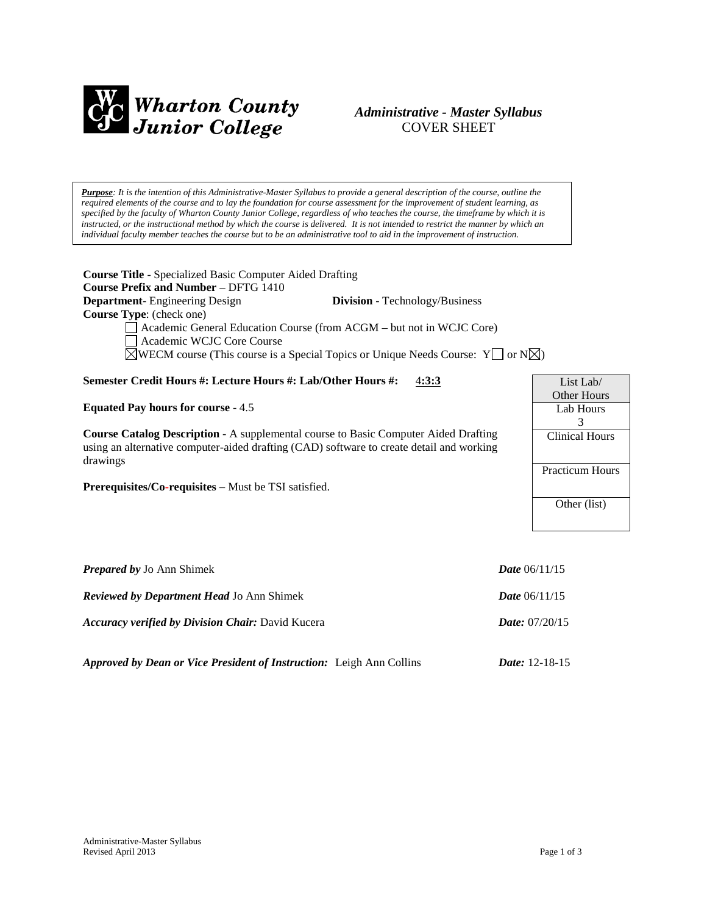

# *Administrative - Master Syllabus*  COVER SHEET

*Purpose: It is the intention of this Administrative-Master Syllabus to provide a general description of the course, outline the required elements of the course and to lay the foundation for course assessment for the improvement of student learning, as specified by the faculty of Wharton County Junior College, regardless of who teaches the course, the timeframe by which it is instructed, or the instructional method by which the course is delivered. It is not intended to restrict the manner by which an individual faculty member teaches the course but to be an administrative tool to aid in the improvement of instruction.*

**Course Title** - Specialized Basic Computer Aided Drafting **Course Prefix and Number** – DFTG 1410 **Department**- Engineering Design **Division** - Technology/Business **Course Type**: (check one) Academic General Education Course (from ACGM – but not in WCJC Core) Academic WCJC Core Course  $\boxtimes$ WECM course (This course is a Special Topics or Unique Needs Course: Y or N $\boxtimes$ ) **Semester Credit Hours #: Lecture Hours #: Lab/Other Hours #:** 4**:3:3 Equated Pay hours for course** - 4.5 **Course Catalog Description** - A supplemental course to Basic Computer Aided Drafting using an alternative computer-aided drafting (CAD) software to create detail and working drawings **Prerequisites/Co-requisites** – Must be TSI satisfied. *Prepared by Jo Ann Shimek Date* **06/11/15** List Lab/ Other Hours Lab Hours 3 Clinical Hours Practicum Hours Other (list)

*Reviewed by Department Head* Jo Ann Shimek *Date* 06/11/15 *Accuracy verified by Division Chair:* David Kucera *Date:* 07/20/15

*Approved by Dean or Vice President of Instruction:* Leigh Ann Collins *Date:* 12-18-15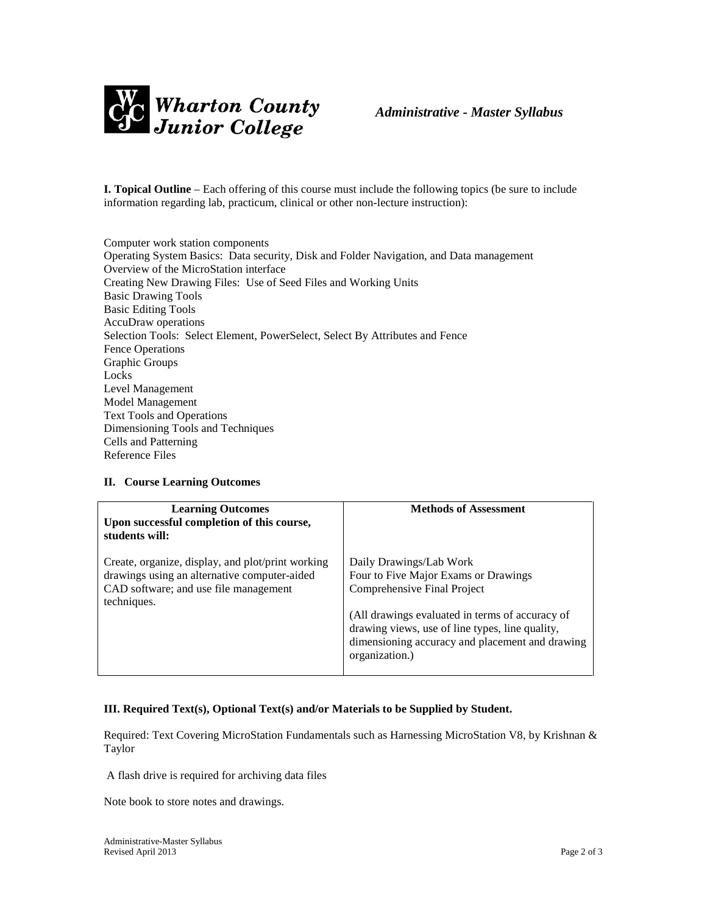

**I. Topical Outline** – Each offering of this course must include the following topics (be sure to include information regarding lab, practicum, clinical or other non-lecture instruction):

Computer work station components Operating System Basics: Data security, Disk and Folder Navigation, and Data management Overview of the MicroStation interface Creating New Drawing Files: Use of Seed Files and Working Units Basic Drawing Tools Basic Editing Tools AccuDraw operations Selection Tools: Select Element, PowerSelect, Select By Attributes and Fence Fence Operations Graphic Groups Locks Level Management Model Management Text Tools and Operations Dimensioning Tools and Techniques Cells and Patterning Reference Files

## **II. Course Learning Outcomes**

| <b>Learning Outcomes</b><br>Upon successful completion of this course,<br>students will:                                                                  | <b>Methods of Assessment</b>                                                                                                                                                                                                                                              |
|-----------------------------------------------------------------------------------------------------------------------------------------------------------|---------------------------------------------------------------------------------------------------------------------------------------------------------------------------------------------------------------------------------------------------------------------------|
| Create, organize, display, and plot/print working<br>drawings using an alternative computer-aided<br>CAD software; and use file management<br>techniques. | Daily Drawings/Lab Work<br>Four to Five Major Exams or Drawings<br>Comprehensive Final Project<br>(All drawings evaluated in terms of accuracy of<br>drawing views, use of line types, line quality,<br>dimensioning accuracy and placement and drawing<br>organization.) |

## **III. Required Text(s), Optional Text(s) and/or Materials to be Supplied by Student.**

Required: Text Covering MicroStation Fundamentals such as Harnessing MicroStation V8, by Krishnan & Taylor

A flash drive is required for archiving data files

Note book to store notes and drawings.